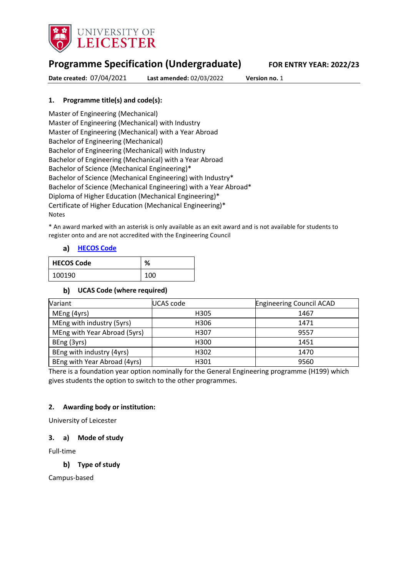

# **Programme Specification (Undergraduate) FOR ENTRY YEAR: 2022/23**

**Date created:** 07/04/2021 **Last amended:** 02/03/2022 **Version no.** 1

## **1. Programme title(s) and code(s):**

Master of Engineering (Mechanical) Master of Engineering (Mechanical) with Industry Master of Engineering (Mechanical) with a Year Abroad Bachelor of Engineering (Mechanical) Bachelor of Engineering (Mechanical) with Industry Bachelor of Engineering (Mechanical) with a Year Abroad Bachelor of Science (Mechanical Engineering)\* Bachelor of Science (Mechanical Engineering) with Industry\* Bachelor of Science (Mechanical Engineering) with a Year Abroad\* Diploma of Higher Education (Mechanical Engineering)\* Certificate of Higher Education (Mechanical Engineering)\* Notes

\* An award marked with an asterisk is only available as an exit award and is not available for students to register onto and are not accredited with the Engineering Council

## **[HECOS Code](https://www.hesa.ac.uk/innovation/hecos)**

| <b>HECOS Code</b> | ℅   |
|-------------------|-----|
| 100190            | 100 |

## **UCAS Code (where required)**

| Variant                      | <b>UCAS code</b> | <b>Engineering Council ACAD</b> |
|------------------------------|------------------|---------------------------------|
| MEng (4yrs)                  | H305             | 1467                            |
| MEng with industry (5yrs)    | H306             | 1471                            |
| MEng with Year Abroad (5yrs) | H307             | 9557                            |
| BEng (3yrs)                  | H300             | 1451                            |
| BEng with industry (4yrs)    | H302             | 1470                            |
| BEng with Year Abroad (4yrs) | H301             | 9560                            |

There is a foundation year option nominally for the General Engineering programme (H199) which gives students the option to switch to the other programmes.

## **2. Awarding body or institution:**

University of Leicester

## **3. a) Mode of study**

Full-time

## **Type of study**

Campus-based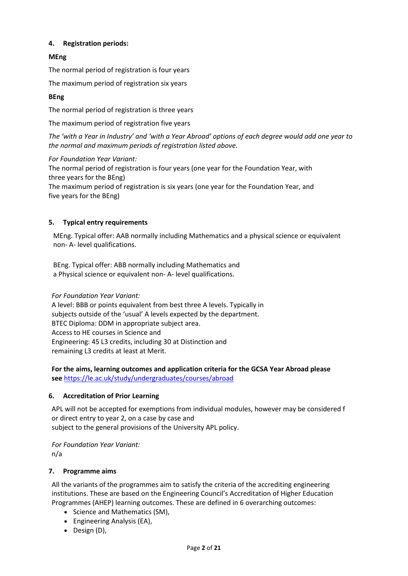## **4. Registration periods:**

## **MEng**

The normal period of registration is four years

The maximum period of registration six years

## **BEng**

The normal period of registration is three years

The maximum period of registration five years

*The 'with a Year in Industry' and 'with a Year Abroad' options of each degree would add one year to the normal and maximum periods of registration listed above.*

## *For Foundation Year Variant:*

The normal period of registration is four years (one year for the Foundation Year, with three years for the BEng) The maximum period of registration is six years (one year for the Foundation Year, and five years for the BEng)

## **5. Typical entry requirements**

MEng. Typical offer: AAB normally including Mathematics and a physical science or equivalent non- A- level qualifications.

BEng. Typical offer: ABB normally including Mathematics and a Physical science or equivalent non- A- level qualifications.

*For Foundation Year Variant:*

A level: BBB or points equivalent from best three A levels. Typically in subjects outside of the 'usual' A levels expected by the department. BTEC Diploma: DDM in appropriate subject area. Access to HE courses in Science and Engineering: 45 L3 credits, including 30 at Distinction and remaining L3 credits at least at Merit.

**For the aims, learning outcomes and application criteria for the GCSA Year Abroad please see** <https://le.ac.uk/study/undergraduates/courses/abroad>

## **6. Accreditation of Prior Learning**

APL will not be accepted for exemptions from individual modules, however may be considered f or direct entry to year 2, on a case by case and subject to the general provisions of the University APL policy.

*For Foundation Year Variant:* n/a

## **7. Programme aims**

All the variants of the programmes aim to satisfy the criteria of the accrediting engineering institutions. These are based on the Engineering Council's Accreditation of Higher Education Programmes (AHEP) learning outcomes. These are defined in 6 overarching outcomes:

- Science and Mathematics (SM),
- Engineering Analysis (EA),
- Design (D),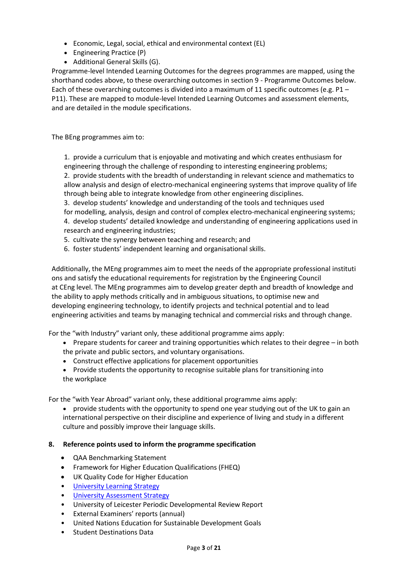- Economic, Legal, social, ethical and environmental context (EL)
- Engineering Practice (P)
- Additional General Skills (G).

Programme-level Intended Learning Outcomes for the degrees programmes are mapped, using the shorthand codes above, to these overarching outcomes in section 9 - Programme Outcomes below. Each of these overarching outcomes is divided into a maximum of 11 specific outcomes (e.g. P1 – P11). These are mapped to module-level Intended Learning Outcomes and assessment elements, and are detailed in the module specifications.

The BEng programmes aim to:

1. provide a curriculum that is enjoyable and motivating and which creates enthusiasm for engineering through the challenge of responding to interesting engineering problems;

2. provide students with the breadth of understanding in relevant science and mathematics to allow analysis and design of electro-mechanical engineering systems that improve quality of life through being able to integrate knowledge from other engineering disciplines.

3. develop students' knowledge and understanding of the tools and techniques used for modelling, analysis, design and control of complex electro-mechanical engineering systems; 4. develop students' detailed knowledge and understanding of engineering applications used in research and engineering industries;

- 5. cultivate the synergy between teaching and research; and
- 6. foster students' independent learning and organisational skills.

Additionally, the MEng programmes aim to meet the needs of the appropriate professional instituti ons and satisfy the educational requirements for registration by the Engineering Council at CEng level. The MEng programmes aim to develop greater depth and breadth of knowledge and the ability to apply methods critically and in ambiguous situations, to optimise new and developing engineering technology, to identify projects and technical potential and to lead engineering activities and teams by managing technical and commercial risks and through change.

For the "with Industry" variant only, these additional programme aims apply:

- Prepare students for career and training opportunities which relates to their degree in both the private and public sectors, and voluntary organisations.
- Construct effective applications for placement opportunities
- Provide students the opportunity to recognise suitable plans for transitioning into the workplace

For the "with Year Abroad" variant only, these additional programme aims apply:

• provide students with the opportunity to spend one year studying out of the UK to gain an international perspective on their discipline and experience of living and study in a different culture and possibly improve their language skills.

#### **8. Reference points used to inform the programme specification**

- QAA Benchmarking Statement
- Framework for Higher Education Qualifications (FHEQ)
- UK Quality Code for Higher Education
- University Learnin[g Strategy](https://www2.le.ac.uk/offices/sas2/quality/learnteach)
- [University Assessment Strategy](https://www2.le.ac.uk/offices/sas2/quality/learnteach)
- University of Leicester Periodic Developmental Review Report
- External Examiners' reports (annual)
- United Nations Education for Sustainable Development Goals
- Student Destinations Data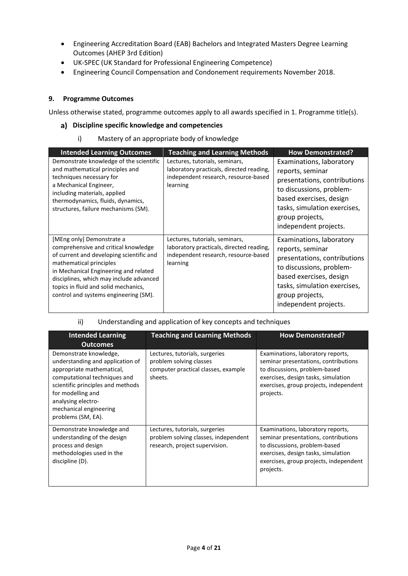- Engineering Accreditation Board (EAB) Bachelors and Integrated Masters Degree Learning Outcomes (AHEP 3rd Edition)
- UK-SPEC (UK Standard for Professional Engineering Competence)
- Engineering Council Compensation and Condonement requirements November 2018.

## **9. Programme Outcomes**

Unless otherwise stated, programme outcomes apply to all awards specified in 1. Programme title(s).

### **Discipline specific knowledge and competencies**

i) Mastery of an appropriate body of knowledge

| <b>Intended Learning Outcomes</b>                                                                                                                                                                                                                                                                             | <b>Teaching and Learning Methods</b>                                                                                           | <b>How Demonstrated?</b>                                                                                                                                                                                        |
|---------------------------------------------------------------------------------------------------------------------------------------------------------------------------------------------------------------------------------------------------------------------------------------------------------------|--------------------------------------------------------------------------------------------------------------------------------|-----------------------------------------------------------------------------------------------------------------------------------------------------------------------------------------------------------------|
| Demonstrate knowledge of the scientific<br>and mathematical principles and<br>techniques necessary for<br>a Mechanical Engineer,<br>including materials, applied<br>thermodynamics, fluids, dynamics,<br>structures, failure mechanisms (SM).                                                                 | Lectures, tutorials, seminars,<br>laboratory practicals, directed reading,<br>independent research, resource-based<br>learning | Examinations, laboratory<br>reports, seminar<br>presentations, contributions<br>to discussions, problem-<br>based exercises, design<br>tasks, simulation exercises,<br>group projects,<br>independent projects. |
| [MEng only] Demonstrate a<br>comprehensive and critical knowledge<br>of current and developing scientific and<br>mathematical principles<br>in Mechanical Engineering and related<br>disciplines, which may include advanced<br>topics in fluid and solid mechanics,<br>control and systems engineering (SM). | Lectures, tutorials, seminars,<br>laboratory practicals, directed reading,<br>independent research, resource-based<br>learning | Examinations, laboratory<br>reports, seminar<br>presentations, contributions<br>to discussions, problem-<br>based exercises, design<br>tasks, simulation exercises,<br>group projects,<br>independent projects. |

## ii) Understanding and application of key concepts and techniques

| <b>Intended Learning</b><br><b>Outcomes</b>                                                                                                                                                                                                             | <b>Teaching and Learning Methods</b>                                                                        | <b>How Demonstrated?</b>                                                                                                                                                                                 |
|---------------------------------------------------------------------------------------------------------------------------------------------------------------------------------------------------------------------------------------------------------|-------------------------------------------------------------------------------------------------------------|----------------------------------------------------------------------------------------------------------------------------------------------------------------------------------------------------------|
| Demonstrate knowledge,<br>understanding and application of<br>appropriate mathematical,<br>computational techniques and<br>scientific principles and methods<br>for modelling and<br>analysing electro-<br>mechanical engineering<br>problems (SM, EA). | Lectures, tutorials, surgeries<br>problem solving classes<br>computer practical classes, example<br>sheets. | Examinations, laboratory reports,<br>seminar presentations, contributions<br>to discussions, problem-based<br>exercises, design tasks, simulation<br>exercises, group projects, independent<br>projects. |
| Demonstrate knowledge and<br>understanding of the design<br>process and design<br>methodologies used in the<br>discipline (D).                                                                                                                          | Lectures, tutorials, surgeries<br>problem solving classes, independent<br>research, project supervision.    | Examinations, laboratory reports,<br>seminar presentations, contributions<br>to discussions, problem-based<br>exercises, design tasks, simulation<br>exercises, group projects, independent<br>projects. |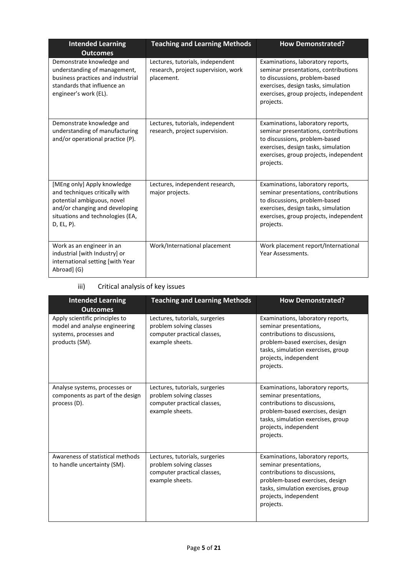| <b>Intended Learning</b><br><b>Outcomes</b>                                                                                                                                        | <b>Teaching and Learning Methods</b>                                                  | <b>How Demonstrated?</b>                                                                                                                                                                                 |
|------------------------------------------------------------------------------------------------------------------------------------------------------------------------------------|---------------------------------------------------------------------------------------|----------------------------------------------------------------------------------------------------------------------------------------------------------------------------------------------------------|
| Demonstrate knowledge and<br>understanding of management,<br>business practices and industrial<br>standards that influence an<br>engineer's work (EL).                             | Lectures, tutorials, independent<br>research, project supervision, work<br>placement. | Examinations, laboratory reports,<br>seminar presentations, contributions<br>to discussions, problem-based<br>exercises, design tasks, simulation<br>exercises, group projects, independent<br>projects. |
| Demonstrate knowledge and<br>understanding of manufacturing<br>and/or operational practice (P).                                                                                    | Lectures, tutorials, independent<br>research, project supervision.                    | Examinations, laboratory reports,<br>seminar presentations, contributions<br>to discussions, problem-based<br>exercises, design tasks, simulation<br>exercises, group projects, independent<br>projects. |
| [MEng only] Apply knowledge<br>and techniques critically with<br>potential ambiguous, novel<br>and/or changing and developing<br>situations and technologies (EA,<br>$D, EL, P$ ). | Lectures, independent research,<br>major projects.                                    | Examinations, laboratory reports,<br>seminar presentations, contributions<br>to discussions, problem-based<br>exercises, design tasks, simulation<br>exercises, group projects, independent<br>projects. |
| Work as an engineer in an<br>industrial [with Industry] or<br>international setting [with Year<br>Abroad] (G)                                                                      | Work/International placement                                                          | Work placement report/International<br>Year Assessments.                                                                                                                                                 |

## iii) Critical analysis of key issues

| <b>Intended Learning</b><br><b>Outcomes</b>                                                                 | <b>Teaching and Learning Methods</b>                                                                        | <b>How Demonstrated?</b>                                                                                                                                                                                    |
|-------------------------------------------------------------------------------------------------------------|-------------------------------------------------------------------------------------------------------------|-------------------------------------------------------------------------------------------------------------------------------------------------------------------------------------------------------------|
| Apply scientific principles to<br>model and analyse engineering<br>systems, processes and<br>products (SM). | Lectures, tutorials, surgeries<br>problem solving classes<br>computer practical classes,<br>example sheets. | Examinations, laboratory reports,<br>seminar presentations,<br>contributions to discussions,<br>problem-based exercises, design<br>tasks, simulation exercises, group<br>projects, independent<br>projects. |
| Analyse systems, processes or<br>components as part of the design<br>process (D).                           | Lectures, tutorials, surgeries<br>problem solving classes<br>computer practical classes,<br>example sheets. | Examinations, laboratory reports,<br>seminar presentations,<br>contributions to discussions,<br>problem-based exercises, design<br>tasks, simulation exercises, group<br>projects, independent<br>projects. |
| Awareness of statistical methods<br>to handle uncertainty (SM).                                             | Lectures, tutorials, surgeries<br>problem solving classes<br>computer practical classes,<br>example sheets. | Examinations, laboratory reports,<br>seminar presentations,<br>contributions to discussions,<br>problem-based exercises, design<br>tasks, simulation exercises, group<br>projects, independent<br>projects. |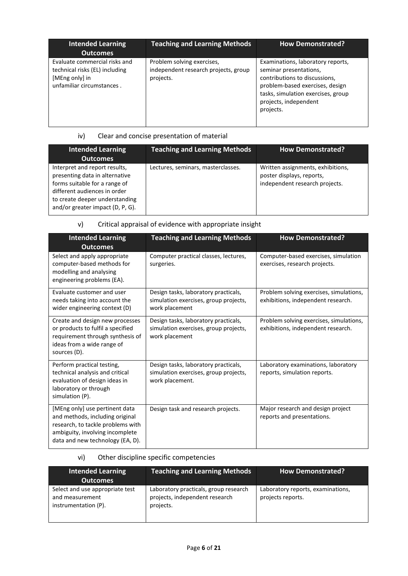| <b>Intended Learning</b><br><b>Outcomes</b>                                                                    | <b>Teaching and Learning Methods</b>                                            | <b>How Demonstrated?</b>                                                                                                                                                                                    |
|----------------------------------------------------------------------------------------------------------------|---------------------------------------------------------------------------------|-------------------------------------------------------------------------------------------------------------------------------------------------------------------------------------------------------------|
| Evaluate commercial risks and<br>technical risks (EL) including<br>[MEng only] in<br>unfamiliar circumstances. | Problem solving exercises,<br>independent research projects, group<br>projects. | Examinations, laboratory reports,<br>seminar presentations,<br>contributions to discussions,<br>problem-based exercises, design<br>tasks, simulation exercises, group<br>projects, independent<br>projects. |

## iv) Clear and concise presentation of material

| <b>Intended Learning</b><br><b>Outcomes</b>                                                                                                                                                            | <b>Teaching and Learning Methods</b> | <b>How Demonstrated?</b>                                                                         |
|--------------------------------------------------------------------------------------------------------------------------------------------------------------------------------------------------------|--------------------------------------|--------------------------------------------------------------------------------------------------|
| Interpret and report results,<br>presenting data in alternative<br>forms suitable for a range of<br>different audiences in order<br>to create deeper understanding<br>and/or greater impact (D, P, G). | Lectures, seminars, masterclasses.   | Written assignments, exhibitions,<br>poster displays, reports,<br>independent research projects. |

# v) Critical appraisal of evidence with appropriate insight

| <b>Intended Learning</b><br><b>Outcomes</b>                                                                                                                                   | <b>Teaching and Learning Methods</b>                                                             | <b>How Demonstrated?</b>                                                      |
|-------------------------------------------------------------------------------------------------------------------------------------------------------------------------------|--------------------------------------------------------------------------------------------------|-------------------------------------------------------------------------------|
| Select and apply appropriate<br>computer-based methods for<br>modelling and analysing<br>engineering problems (EA).                                                           | Computer practical classes, lectures,<br>surgeries.                                              | Computer-based exercises, simulation<br>exercises, research projects.         |
| Evaluate customer and user<br>needs taking into account the<br>wider engineering context (D)                                                                                  | Design tasks, laboratory practicals,<br>simulation exercises, group projects,<br>work placement  | Problem solving exercises, simulations,<br>exhibitions, independent research. |
| Create and design new processes<br>or products to fulfil a specified<br>requirement through synthesis of<br>ideas from a wide range of<br>sources (D).                        | Design tasks, laboratory practicals,<br>simulation exercises, group projects,<br>work placement  | Problem solving exercises, simulations,<br>exhibitions, independent research. |
| Perform practical testing,<br>technical analysis and critical<br>evaluation of design ideas in<br>laboratory or through<br>simulation (P).                                    | Design tasks, laboratory practicals,<br>simulation exercises, group projects,<br>work placement. | Laboratory examinations, laboratory<br>reports, simulation reports.           |
| [MEng only] use pertinent data<br>and methods, including original<br>research, to tackle problems with<br>ambiguity, involving incomplete<br>data and new technology (EA, D). | Design task and research projects.                                                               | Major research and design project<br>reports and presentations.               |

## vi) Other discipline specific competencies

| <b>Intended Learning</b><br><b>Outcomes</b>                                | <b>Teaching and Learning Methods</b>                                                 | <b>How Demonstrated?</b>                               |
|----------------------------------------------------------------------------|--------------------------------------------------------------------------------------|--------------------------------------------------------|
| Select and use appropriate test<br>and measurement<br>instrumentation (P). | Laboratory practicals, group research<br>projects, independent research<br>projects. | Laboratory reports, examinations,<br>projects reports. |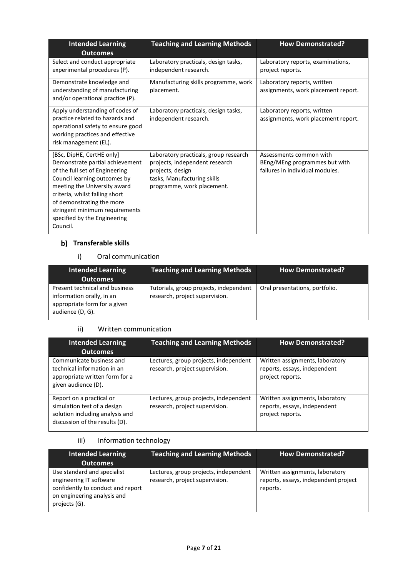| <b>Intended Learning</b><br><b>Outcomes</b>                                                                                                                                                                                                                                                                 | <b>Teaching and Learning Methods</b>                                                                                                                     | <b>How Demonstrated?</b>                                                                    |
|-------------------------------------------------------------------------------------------------------------------------------------------------------------------------------------------------------------------------------------------------------------------------------------------------------------|----------------------------------------------------------------------------------------------------------------------------------------------------------|---------------------------------------------------------------------------------------------|
| Select and conduct appropriate<br>experimental procedures (P).                                                                                                                                                                                                                                              | Laboratory practicals, design tasks,<br>independent research.                                                                                            | Laboratory reports, examinations,<br>project reports.                                       |
| Demonstrate knowledge and<br>understanding of manufacturing<br>and/or operational practice (P).                                                                                                                                                                                                             | Manufacturing skills programme, work<br>placement.                                                                                                       | Laboratory reports, written<br>assignments, work placement report.                          |
| Apply understanding of codes of<br>practice related to hazards and<br>operational safety to ensure good<br>working practices and effective<br>risk management (EL).                                                                                                                                         | Laboratory practicals, design tasks,<br>independent research.                                                                                            | Laboratory reports, written<br>assignments, work placement report.                          |
| [BSc, DipHE, CertHE only]<br>Demonstrate partial achievement<br>of the full set of Engineering<br>Council learning outcomes by<br>meeting the University award<br>criteria, whilst falling short<br>of demonstrating the more<br>stringent minimum requirements<br>specified by the Engineering<br>Council. | Laboratory practicals, group research<br>projects, independent research<br>projects, design<br>tasks, Manufacturing skills<br>programme, work placement. | Assessments common with<br>BEng/MEng programmes but with<br>failures in individual modules. |

## **Transferable skills**

## i) Oral communication

| <b>Intended Learning</b><br><b>Outcomes</b>                                                                     | <b>Teaching and Learning Methods</b>                                     | <b>How Demonstrated?</b>       |
|-----------------------------------------------------------------------------------------------------------------|--------------------------------------------------------------------------|--------------------------------|
| Present technical and business<br>information orally, in an<br>appropriate form for a given<br>audience (D, G). | Tutorials, group projects, independent<br>research, project supervision. | Oral presentations, portfolio. |

### ii) Written communication

| <b>Intended Learning</b><br><b>Outcomes</b>                                                                                  | <b>Teaching and Learning Methods</b>                                    | <b>How Demonstrated?</b>                                                            |
|------------------------------------------------------------------------------------------------------------------------------|-------------------------------------------------------------------------|-------------------------------------------------------------------------------------|
| Communicate business and<br>technical information in an<br>appropriate written form for a<br>given audience (D).             | Lectures, group projects, independent<br>research, project supervision. | Written assignments, laboratory<br>reports, essays, independent<br>project reports. |
| Report on a practical or<br>simulation test of a design<br>solution including analysis and<br>discussion of the results (D). | Lectures, group projects, independent<br>research, project supervision. | Written assignments, laboratory<br>reports, essays, independent<br>project reports. |

## iii) Information technology

| <b>Intended Learning</b><br><b>Outcomes</b>                                                                                                 | <b>Teaching and Learning Methods</b>                                    | <b>How Demonstrated?</b>                                                            |
|---------------------------------------------------------------------------------------------------------------------------------------------|-------------------------------------------------------------------------|-------------------------------------------------------------------------------------|
| Use standard and specialist<br>engineering IT software<br>confidently to conduct and report<br>on engineering analysis and<br>projects (G). | Lectures, group projects, independent<br>research, project supervision. | Written assignments, laboratory<br>reports, essays, independent project<br>reports. |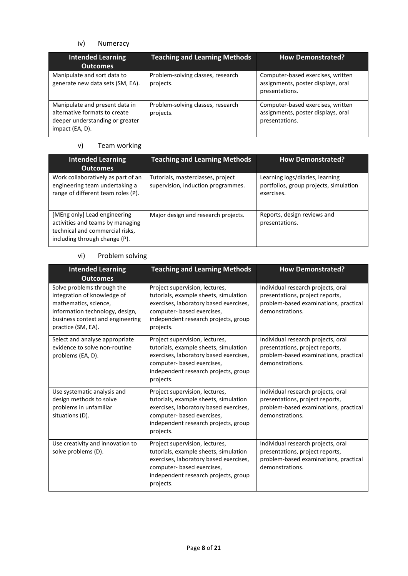## iv) Numeracy

| <b>Intended Learning</b><br><b>Outcomes</b>                                                                           | <b>Teaching and Learning Methods</b>           | <b>How Demonstrated?</b>                                                                  |
|-----------------------------------------------------------------------------------------------------------------------|------------------------------------------------|-------------------------------------------------------------------------------------------|
| Manipulate and sort data to<br>generate new data sets (SM, EA).                                                       | Problem-solving classes, research<br>projects. | Computer-based exercises, written<br>assignments, poster displays, oral<br>presentations. |
| Manipulate and present data in<br>alternative formats to create<br>deeper understanding or greater<br>impact (EA, D). | Problem-solving classes, research<br>projects. | Computer-based exercises, written<br>assignments, poster displays, oral<br>presentations. |

## v) Team working

| <b>Intended Learning</b><br><b>Outcomes</b>                                                                                          | <b>Teaching and Learning Methods</b>                                    | <b>How Demonstrated?</b>                                                                |
|--------------------------------------------------------------------------------------------------------------------------------------|-------------------------------------------------------------------------|-----------------------------------------------------------------------------------------|
| Work collaboratively as part of an<br>engineering team undertaking a<br>range of different team roles (P).                           | Tutorials, masterclasses, project<br>supervision, induction programmes. | Learning logs/diaries, learning<br>portfolios, group projects, simulation<br>exercises. |
| [MEng only] Lead engineering<br>activities and teams by managing<br>technical and commercial risks,<br>including through change (P). | Major design and research projects.                                     | Reports, design reviews and<br>presentations.                                           |

### vi) Problem solving

| <b>Intended Learning</b><br><b>Outcomes</b>                                                                                                                                     | <b>Teaching and Learning Methods</b>                                                                                                                                                                 | <b>How Demonstrated?</b>                                                                                                          |
|---------------------------------------------------------------------------------------------------------------------------------------------------------------------------------|------------------------------------------------------------------------------------------------------------------------------------------------------------------------------------------------------|-----------------------------------------------------------------------------------------------------------------------------------|
| Solve problems through the<br>integration of knowledge of<br>mathematics, science,<br>information technology, design,<br>business context and engineering<br>practice (SM, EA). | Project supervision, lectures,<br>tutorials, example sheets, simulation<br>exercises, laboratory based exercises,<br>computer- based exercises,<br>independent research projects, group<br>projects. | Individual research projects, oral<br>presentations, project reports,<br>problem-based examinations, practical<br>demonstrations. |
| Select and analyse appropriate<br>evidence to solve non-routine<br>problems (EA, D).                                                                                            | Project supervision, lectures,<br>tutorials, example sheets, simulation<br>exercises, laboratory based exercises,<br>computer- based exercises,<br>independent research projects, group<br>projects. | Individual research projects, oral<br>presentations, project reports,<br>problem-based examinations, practical<br>demonstrations. |
| Use systematic analysis and<br>design methods to solve<br>problems in unfamiliar<br>situations (D).                                                                             | Project supervision, lectures,<br>tutorials, example sheets, simulation<br>exercises, laboratory based exercises,<br>computer- based exercises,<br>independent research projects, group<br>projects. | Individual research projects, oral<br>presentations, project reports,<br>problem-based examinations, practical<br>demonstrations. |
| Use creativity and innovation to<br>solve problems (D).                                                                                                                         | Project supervision, lectures,<br>tutorials, example sheets, simulation<br>exercises, laboratory based exercises,<br>computer- based exercises,<br>independent research projects, group<br>projects. | Individual research projects, oral<br>presentations, project reports,<br>problem-based examinations, practical<br>demonstrations. |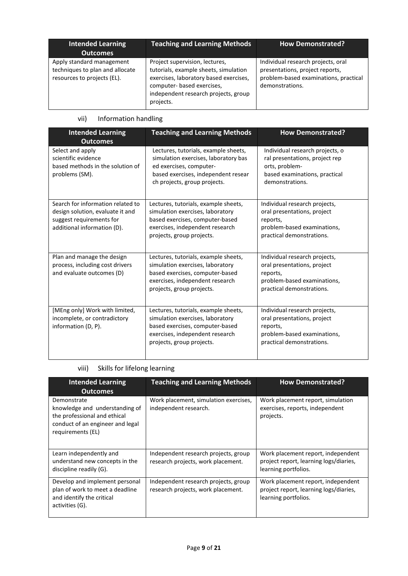| <b>Intended Learning</b><br><b>Outcomes</b>                                                 | <b>Teaching and Learning Methods</b>                                                                                                                                                                 | <b>How Demonstrated?</b>                                                                                                          |
|---------------------------------------------------------------------------------------------|------------------------------------------------------------------------------------------------------------------------------------------------------------------------------------------------------|-----------------------------------------------------------------------------------------------------------------------------------|
| Apply standard management<br>techniques to plan and allocate<br>resources to projects (EL). | Project supervision, lectures,<br>tutorials, example sheets, simulation<br>exercises, laboratory based exercises,<br>computer- based exercises,<br>independent research projects, group<br>projects. | Individual research projects, oral<br>presentations, project reports,<br>problem-based examinations, practical<br>demonstrations. |

# vii) Information handling

| <b>Intended Learning</b><br><b>Outcomes</b>                                                                                      | <b>Teaching and Learning Methods</b>                                                                                                                                           | <b>How Demonstrated?</b>                                                                                                                |
|----------------------------------------------------------------------------------------------------------------------------------|--------------------------------------------------------------------------------------------------------------------------------------------------------------------------------|-----------------------------------------------------------------------------------------------------------------------------------------|
| Select and apply<br>scientific evidence<br>based methods in the solution of<br>problems (SM).                                    | Lectures, tutorials, example sheets,<br>simulation exercises, laboratory bas<br>ed exercises, computer-<br>based exercises, independent resear<br>ch projects, group projects. | Individual research projects, o<br>ral presentations, project rep<br>orts, problem-<br>based examinations, practical<br>demonstrations. |
| Search for information related to<br>design solution, evaluate it and<br>suggest requirements for<br>additional information (D). | Lectures, tutorials, example sheets,<br>simulation exercises, laboratory<br>based exercises, computer-based<br>exercises, independent research<br>projects, group projects.    | Individual research projects,<br>oral presentations, project<br>reports,<br>problem-based examinations,<br>practical demonstrations.    |
| Plan and manage the design<br>process, including cost drivers<br>and evaluate outcomes (D)                                       | Lectures, tutorials, example sheets,<br>simulation exercises, laboratory<br>based exercises, computer-based<br>exercises, independent research<br>projects, group projects.    | Individual research projects,<br>oral presentations, project<br>reports,<br>problem-based examinations,<br>practical demonstrations.    |
| [MEng only] Work with limited,<br>incomplete, or contradictory<br>information (D, P).                                            | Lectures, tutorials, example sheets,<br>simulation exercises, laboratory<br>based exercises, computer-based<br>exercises, independent research<br>projects, group projects.    | Individual research projects,<br>oral presentations, project<br>reports,<br>problem-based examinations,<br>practical demonstrations.    |

# viii) Skills for lifelong learning

| <b>Intended Learning</b><br><b>Outcomes</b>                                                                                            | <b>Teaching and Learning Methods</b>                                       | <b>How Demonstrated?</b>                                                                             |  |
|----------------------------------------------------------------------------------------------------------------------------------------|----------------------------------------------------------------------------|------------------------------------------------------------------------------------------------------|--|
| Demonstrate<br>knowledge and understanding of<br>the professional and ethical<br>conduct of an engineer and legal<br>requirements (EL) | Work placement, simulation exercises,<br>independent research.             | Work placement report, simulation<br>exercises, reports, independent<br>projects.                    |  |
| Learn independently and<br>understand new concepts in the<br>discipline readily (G).                                                   | Independent research projects, group<br>research projects, work placement. | Work placement report, independent<br>project report, learning logs/diaries,<br>learning portfolios. |  |
| Develop and implement personal<br>plan of work to meet a deadline<br>and identify the critical<br>activities (G).                      | Independent research projects, group<br>research projects, work placement. | Work placement report, independent<br>project report, learning logs/diaries,<br>learning portfolios. |  |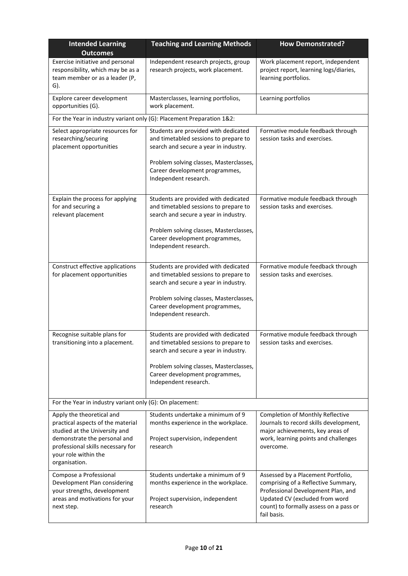| <b>Intended Learning</b><br><b>Outcomes</b>                                                                                                                                                                   | <b>Teaching and Learning Methods</b>                                                                                                                                                                                         | <b>How Demonstrated?</b>                                                                                                                                                                                   |  |
|---------------------------------------------------------------------------------------------------------------------------------------------------------------------------------------------------------------|------------------------------------------------------------------------------------------------------------------------------------------------------------------------------------------------------------------------------|------------------------------------------------------------------------------------------------------------------------------------------------------------------------------------------------------------|--|
| Exercise initiative and personal<br>responsibility, which may be as a<br>team member or as a leader (P,<br>G).                                                                                                | Independent research projects, group<br>research projects, work placement.                                                                                                                                                   | Work placement report, independent<br>project report, learning logs/diaries,<br>learning portfolios.                                                                                                       |  |
| Explore career development<br>opportunities (G).                                                                                                                                                              | Masterclasses, learning portfolios,<br>work placement.                                                                                                                                                                       | Learning portfolios                                                                                                                                                                                        |  |
| For the Year in industry variant only (G): Placement Preparation 1&2:                                                                                                                                         |                                                                                                                                                                                                                              |                                                                                                                                                                                                            |  |
| Select appropriate resources for<br>researching/securing<br>placement opportunities                                                                                                                           | Students are provided with dedicated<br>and timetabled sessions to prepare to<br>search and secure a year in industry.                                                                                                       | Formative module feedback through<br>session tasks and exercises.                                                                                                                                          |  |
|                                                                                                                                                                                                               | Problem solving classes, Masterclasses,<br>Career development programmes,<br>Independent research.                                                                                                                           |                                                                                                                                                                                                            |  |
| Explain the process for applying<br>for and securing a<br>relevant placement                                                                                                                                  | Students are provided with dedicated<br>and timetabled sessions to prepare to<br>search and secure a year in industry.                                                                                                       | Formative module feedback through<br>session tasks and exercises.                                                                                                                                          |  |
|                                                                                                                                                                                                               | Problem solving classes, Masterclasses,<br>Career development programmes,<br>Independent research.                                                                                                                           |                                                                                                                                                                                                            |  |
| Construct effective applications<br>for placement opportunities                                                                                                                                               | Students are provided with dedicated<br>and timetabled sessions to prepare to<br>search and secure a year in industry.<br>Problem solving classes, Masterclasses,<br>Career development programmes,<br>Independent research. | Formative module feedback through<br>session tasks and exercises.                                                                                                                                          |  |
| Recognise suitable plans for<br>transitioning into a placement.                                                                                                                                               | Students are provided with dedicated<br>and timetabled sessions to prepare to<br>search and secure a year in industry.<br>Problem solving classes, Masterclasses,<br>Career development programmes,<br>Independent research. | Formative module feedback through<br>session tasks and exercises.                                                                                                                                          |  |
| For the Year in industry variant only (G): On placement:                                                                                                                                                      |                                                                                                                                                                                                                              |                                                                                                                                                                                                            |  |
| Apply the theoretical and<br>practical aspects of the material<br>studied at the University and<br>demonstrate the personal and<br>professional skills necessary for<br>your role within the<br>organisation. | Students undertake a minimum of 9<br>months experience in the workplace.<br>Project supervision, independent<br>research                                                                                                     | <b>Completion of Monthly Reflective</b><br>Journals to record skills development,<br>major achievements, key areas of<br>work, learning points and challenges<br>overcome.                                 |  |
| Compose a Professional<br>Development Plan considering<br>your strengths, development<br>areas and motivations for your<br>next step.                                                                         | Students undertake a minimum of 9<br>months experience in the workplace.<br>Project supervision, independent<br>research                                                                                                     | Assessed by a Placement Portfolio,<br>comprising of a Reflective Summary,<br>Professional Development Plan, and<br>Updated CV (excluded from word<br>count) to formally assess on a pass or<br>fail basis. |  |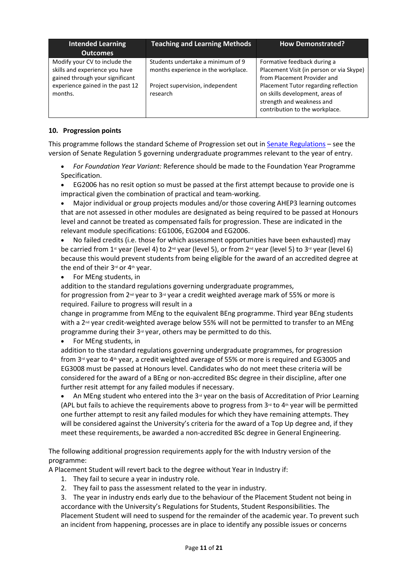| <b>Intended Learning</b><br><b>Outcomes</b>                                                                                                       | <b>Teaching and Learning Methods</b>                                                                                     | <b>How Demonstrated?</b>                                                                                                                                                                                                                         |
|---------------------------------------------------------------------------------------------------------------------------------------------------|--------------------------------------------------------------------------------------------------------------------------|--------------------------------------------------------------------------------------------------------------------------------------------------------------------------------------------------------------------------------------------------|
| Modify your CV to include the<br>skills and experience you have<br>gained through your significant<br>experience gained in the past 12<br>months. | Students undertake a minimum of 9<br>months experience in the workplace.<br>Project supervision, independent<br>research | Formative feedback during a<br>Placement Visit (in person or via Skype)<br>from Placement Provider and<br>Placement Tutor regarding reflection<br>on skills development, areas of<br>strength and weakness and<br>contribution to the workplace. |

### **10. Progression points**

This programme follows the standard Scheme of Progression set out in **Senate Regulations** – see the version of Senate Regulation 5 governing undergraduate programmes relevant to the year of entry.

• *For Foundation Year Variant:* Reference should be made to the Foundation Year Programme Specification.

• EG2006 has no resit option so must be passed at the first attempt because to provide one is impractical given the combination of practical and team-working.

• Major individual or group projects modules and/or those covering AHEP3 learning outcomes that are not assessed in other modules are designated as being required to be passed at Honours level and cannot be treated as compensated fails for progression. These are indicated in the relevant module specifications: EG1006, EG2004 and EG2006.

- No failed credits (i.e. those for which assessment opportunities have been exhausted) may be carried from 1<sup>st</sup> year (level 4) to 2<sup>nd</sup> year (level 5), or from 2<sup>nd</sup> year (level 5) to 3<sup>rd</sup> year (level 6) because this would prevent students from being eligible for the award of an accredited degree at the end of their 3rd or 4th year.
- For MEng students, in

addition to the standard regulations governing undergraduate programmes,

for progression from 2<sup>nd</sup> year to 3<sup>rd</sup> year a credit weighted average mark of 55% or more is required. Failure to progress will result in a

change in programme from MEng to the equivalent BEng programme. Third year BEng students with a  $2^{nd}$  year credit-weighted average below 55% will not be permitted to transfer to an MEng programme during their 3<sup>rd</sup> year, others may be permitted to do this.

• For MEng students, in

addition to the standard regulations governing undergraduate programmes, for progression from  $3^{rd}$  year to  $4^{th}$  year, a credit weighted average of 55% or more is required and EG3005 and EG3008 must be passed at Honours level. Candidates who do not meet these criteria will be considered for the award of a BEng or non-accredited BSc degree in their discipline, after one further resit attempt for any failed modules if necessary.

• An MEng student who entered into the  $3<sup>d</sup>$  year on the basis of Accreditation of Prior Learning (APL but fails to achieve the requirements above to progress from  $3<sup>rd</sup>$  to  $4<sup>th</sup>$  year will be permitted one further attempt to resit any failed modules for which they have remaining attempts. They will be considered against the University's criteria for the award of a Top Up degree and, if they meet these requirements, be awarded a non-accredited BSc degree in General Engineering.

The following additional progression requirements apply for the with Industry version of the programme:

A Placement Student will revert back to the degree without Year in Industry if:

- 1. They fail to secure a year in industry role.
- 2. They fail to pass the assessment related to the year in industry.

3. The year in industry ends early due to the behaviour of the Placement Student not being in accordance with the University's Regulations for Students, Student Responsibilities. The Placement Student will need to suspend for the remainder of the academic year. To prevent such an incident from happening, processes are in place to identify any possible issues or concerns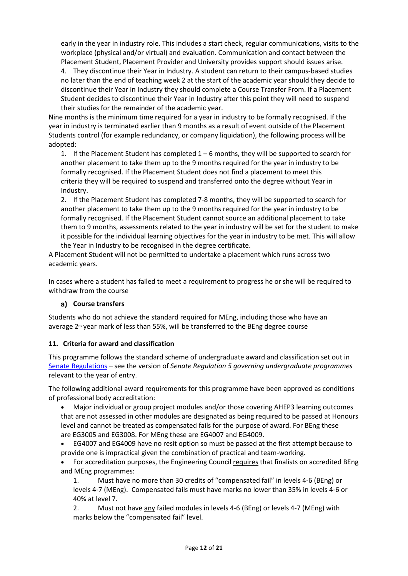early in the year in industry role. This includes a start check, regular communications, visits to the workplace (physical and/or virtual) and evaluation. Communication and contact between the Placement Student, Placement Provider and University provides support should issues arise.

4. They discontinue their Year in Industry. A student can return to their campus-based studies no later than the end of teaching week 2 at the start of the academic year should they decide to discontinue their Year in Industry they should complete a Course Transfer From. If a Placement Student decides to discontinue their Year in Industry after this point they will need to suspend their studies for the remainder of the academic year.

Nine months is the minimum time required for a year in industry to be formally recognised. If the year in industry is terminated earlier than 9 months as a result of event outside of the Placement Students control (for example redundancy, or company liquidation), the following process will be adopted:

1. If the Placement Student has completed  $1 - 6$  months, they will be supported to search for another placement to take them up to the 9 months required for the year in industry to be formally recognised. If the Placement Student does not find a placement to meet this criteria they will be required to suspend and transferred onto the degree without Year in Industry.

2. If the Placement Student has completed 7-8 months, they will be supported to search for another placement to take them up to the 9 months required for the year in industry to be formally recognised. If the Placement Student cannot source an additional placement to take them to 9 months, assessments related to the year in industry will be set for the student to make it possible for the individual learning objectives for the year in industry to be met. This will allow the Year in Industry to be recognised in the degree certificate.

A Placement Student will not be permitted to undertake a placement which runs across two academic years.

In cases where a student has failed to meet a requirement to progress he or she will be required to withdraw from the course

## **Course transfers**

Students who do not achieve the standard required for MEng, including those who have an average 2<sup>nd</sup> year mark of less than 55%, will be transferred to the BEng degree course

#### **11. Criteria for award and classification**

This programme follows the standard scheme of undergraduate award and classification set out in [Senate Regulations](http://www.le.ac.uk/senate-regulations) – see the version of *Senate Regulation 5 governing undergraduate programmes* relevant to the year of entry.

The following additional award requirements for this programme have been approved as conditions of professional body accreditation:

• Major individual or group project modules and/or those covering AHEP3 learning outcomes that are not assessed in other modules are designated as being required to be passed at Honours level and cannot be treated as compensated fails for the purpose of award. For BEng these are EG3005 and EG3008. For MEng these are EG4007 and EG4009.

• EG4007 and EG4009 have no resit option so must be passed at the first attempt because to provide one is impractical given the combination of practical and team-working.

• For accreditation purposes, the Engineering Council requires that finalists on accredited BEng and MEng programmes:

1. Must have no more than 30 credits of "compensated fail" in levels 4-6 (BEng) or levels 4-7 (MEng). Compensated fails must have marks no lower than 35% in levels 4-6 or 40% at level 7.

2. Must not have any failed modules in levels 4-6 (BEng) or levels 4-7 (MEng) with marks below the "compensated fail" level.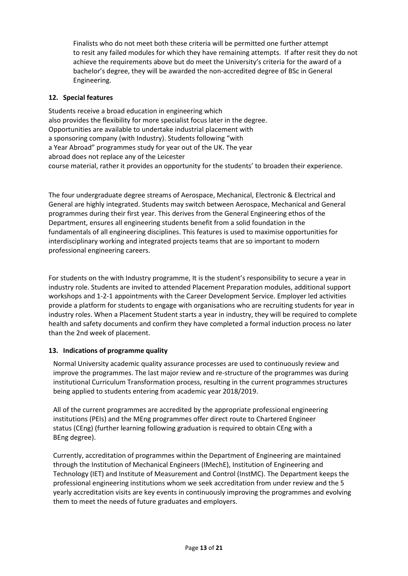Finalists who do not meet both these criteria will be permitted one further attempt to resit any failed modules for which they have remaining attempts. If after resit they do not achieve the requirements above but do meet the University's criteria for the award of a bachelor's degree, they will be awarded the non-accredited degree of BSc in General Engineering.

## **12. Special features**

Students receive a broad education in engineering which also provides the flexibility for more specialist focus later in the degree. Opportunities are available to undertake industrial placement with a sponsoring company (with Industry). Students following "with a Year Abroad" programmes study for year out of the UK. The year abroad does not replace any of the Leicester course material, rather it provides an opportunity for the students' to broaden their experience.

The four undergraduate degree streams of Aerospace, Mechanical, Electronic & Electrical and General are highly integrated. Students may switch between Aerospace, Mechanical and General programmes during their first year. This derives from the General Engineering ethos of the Department, ensures all engineering students benefit from a solid foundation in the fundamentals of all engineering disciplines. This features is used to maximise opportunities for interdisciplinary working and integrated projects teams that are so important to modern professional engineering careers.

For students on the with Industry programme, It is the student's responsibility to secure a year in industry role. Students are invited to attended Placement Preparation modules, additional support workshops and 1-2-1 appointments with the Career Development Service. Employer led activities provide a platform for students to engage with organisations who are recruiting students for year in industry roles. When a Placement Student starts a year in industry, they will be required to complete health and safety documents and confirm they have completed a formal induction process no later than the 2nd week of placement.

## **13. Indications of programme quality**

Normal University academic quality assurance processes are used to continuously review and improve the programmes. The last major review and re-structure of the programmes was during institutional Curriculum Transformation process, resulting in the current programmes structures being applied to students entering from academic year 2018/2019.

All of the current programmes are accredited by the appropriate professional engineering institutions (PEIs) and the MEng programmes offer direct route to Chartered Engineer status (CEng) (further learning following graduation is required to obtain CEng with a BEng degree).

Currently, accreditation of programmes within the Department of Engineering are maintained through the Institution of Mechanical Engineers (IMechE), Institution of Engineering and Technology (IET) and Institute of Measurement and Control (InstMC). The Department keeps the professional engineering institutions whom we seek accreditation from under review and the 5 yearly accreditation visits are key events in continuously improving the programmes and evolving them to meet the needs of future graduates and employers.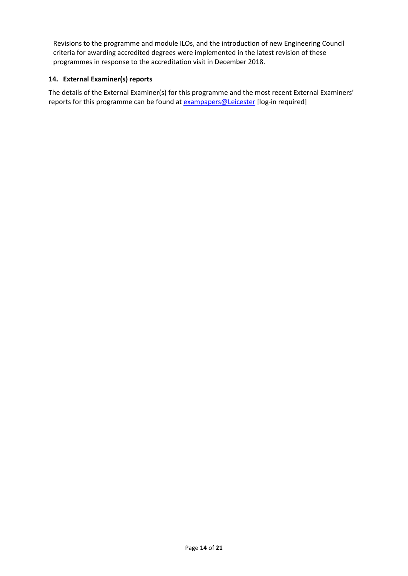Revisions to the programme and module ILOs, and the introduction of new Engineering Council criteria for awarding accredited degrees were implemented in the latest revision of these programmes in response to the accreditation visit in December 2018.

## **14. External Examiner(s) reports**

The details of the External Examiner(s) for this programme and the most recent External Examiners' reports for this programme can be found at **[exampapers@Leicester](https://exampapers.le.ac.uk/)** [log-in required]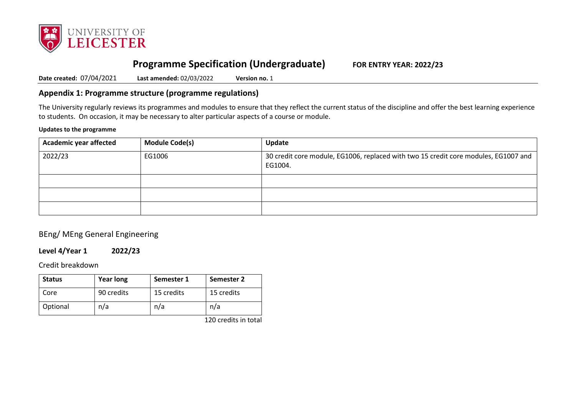

# **Programme Specification (Undergraduate) FOR ENTRY YEAR: 2022/23**

**Date created:** 07/04/2021 **Last amended:** 02/03/2022 **Version no.** 1

## **Appendix 1: Programme structure (programme regulations)**

The University regularly reviews its programmes and modules to ensure that they reflect the current status of the discipline and offer the best learning experience to students. On occasion, it may be necessary to alter particular aspects of a course or module.

#### **Updates to the programme**

| <b>Academic year affected</b> | <b>Module Code(s)</b> | Update                                                                                         |
|-------------------------------|-----------------------|------------------------------------------------------------------------------------------------|
| 2022/23                       | EG1006                | 30 credit core module, EG1006, replaced with two 15 credit core modules, EG1007 and<br>EG1004. |
|                               |                       |                                                                                                |
|                               |                       |                                                                                                |
|                               |                       |                                                                                                |

## BEng/ MEng General Engineering

### **Level 4/Year 1 2022/23**

Credit breakdown

| <b>Status</b> | <b>Year long</b> | Semester 1 | Semester 2 |
|---------------|------------------|------------|------------|
| Core          | 90 credits       | 15 credits | 15 credits |
| Optional      | n/a              | n/a        | n/a        |

120 credits in total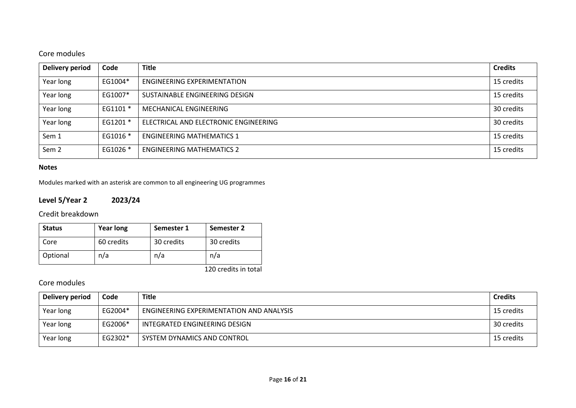# Core modules

| Delivery period  | Code     | <b>Title</b>                          | <b>Credits</b> |
|------------------|----------|---------------------------------------|----------------|
| Year long        | EG1004*  | ENGINEERING EXPERIMENTATION           | 15 credits     |
| Year long        | EG1007*  | SUSTAINABLE ENGINEERING DESIGN        | 15 credits     |
| Year long        | EG1101 * | MECHANICAL ENGINEERING                | 30 credits     |
| Year long        | EG1201 * | ELECTRICAL AND ELECTRONIC ENGINEERING | 30 credits     |
| Sem 1            | EG1016 * | <b>ENGINEERING MATHEMATICS 1</b>      | 15 credits     |
| Sem <sub>2</sub> | EG1026 * | <b>ENGINEERING MATHEMATICS 2</b>      | 15 credits     |

### **Notes**

Modules marked with an asterisk are common to all engineering UG programmes

## **Level 5/Year 2 2023/24**

Credit breakdown

| <b>Status</b> | <b>Year long</b> | Semester 1 | Semester 2 |
|---------------|------------------|------------|------------|
| Core          | 60 credits       | 30 credits | 30 credits |
| Optional      | n/a              | n/a        | n/a        |

120 credits in total

# Core modules

| Delivery period | Code    | <b>Title</b>                             | <b>Credits</b> |
|-----------------|---------|------------------------------------------|----------------|
| Year long       | EG2004* | ENGINEERING EXPERIMENTATION AND ANALYSIS | 15 credits     |
| Year long       | EG2006* | INTEGRATED ENGINEERING DESIGN            | 30 credits     |
| Year long       | EG2302* | SYSTEM DYNAMICS AND CONTROL              | 15 credits     |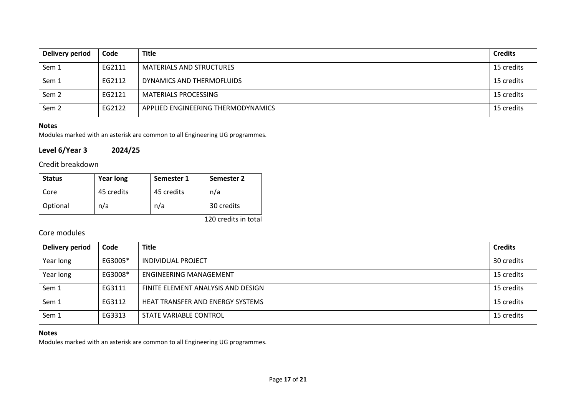| Delivery period  | Code   | <b>Title</b>                       | <b>Credits</b> |
|------------------|--------|------------------------------------|----------------|
| Sem 1            | EG2111 | <b>MATERIALS AND STRUCTURES</b>    | 15 credits     |
| Sem 1            | EG2112 | DYNAMICS AND THERMOFLUIDS          | 15 credits     |
| Sem <sub>2</sub> | EG2121 | <b>MATERIALS PROCESSING</b>        | 15 credits     |
| Sem <sub>2</sub> | EG2122 | APPLIED ENGINEERING THERMODYNAMICS | 15 credits     |

## **Notes**

Modules marked with an asterisk are common to all Engineering UG programmes.

## **Level 6/Year 3 2024/25**

## Credit breakdown

| <b>Status</b> | <b>Year long</b> | Semester 1 | Semester 2 |
|---------------|------------------|------------|------------|
| Core          | 45 credits       | 45 credits | n/a        |
| Optional      | n/a              | n/a        | 30 credits |

120 credits in total

## Core modules

| Delivery period | Code    | <b>Title</b>                       | <b>Credits</b> |
|-----------------|---------|------------------------------------|----------------|
| Year long       | EG3005* | INDIVIDUAL PROJECT                 | 30 credits     |
| Year long       | EG3008* | <b>ENGINEERING MANAGEMENT</b>      | 15 credits     |
| Sem 1           | EG3111  | FINITE ELEMENT ANALYSIS AND DESIGN | 15 credits     |
| Sem 1           | EG3112  | HEAT TRANSFER AND ENERGY SYSTEMS   | 15 credits     |
| Sem 1           | EG3313  | STATE VARIABLE CONTROL             | 15 credits     |

## **Notes**

Modules marked with an asterisk are common to all Engineering UG programmes.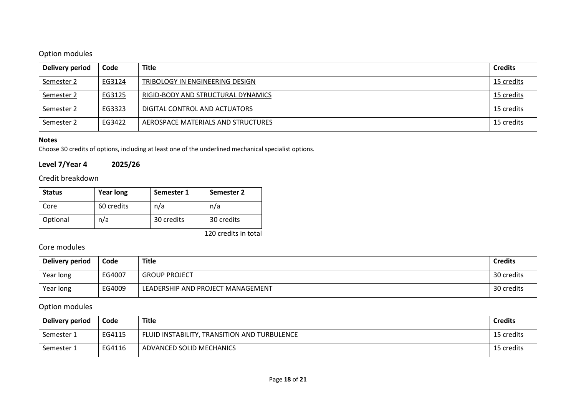# Option modules

| Delivery period | Code   | <b>Title</b>                       | <b>Credits</b> |
|-----------------|--------|------------------------------------|----------------|
| Semester 2      | EG3124 | TRIBOLOGY IN ENGINEERING DESIGN    | 15 credits     |
| Semester 2      | EG3125 | RIGID-BODY AND STRUCTURAL DYNAMICS | 15 credits     |
| Semester 2      | EG3323 | DIGITAL CONTROL AND ACTUATORS      | 15 credits     |
| Semester 2      | EG3422 | AEROSPACE MATERIALS AND STRUCTURES | 15 credits     |

### **Notes**

Choose 30 credits of options, including at least one of the underlined mechanical specialist options.

# **Level 7/Year 4 2025/26**

## Credit breakdown

| <b>Status</b> | <b>Year long</b> | Semester 1 | Semester 2 |
|---------------|------------------|------------|------------|
| Core          | 60 credits       | n/a        | n/a        |
| Optional      | n/a              | 30 credits | 30 credits |

120 credits in total

# Core modules

| Delivery period | Code   | <b>Title</b>                      | <b>Credits</b> |
|-----------------|--------|-----------------------------------|----------------|
| Year long       | EG4007 | <b>GROUP PROJECT</b>              | 30 credits     |
| Year long       | EG4009 | LEADERSHIP AND PROJECT MANAGEMENT | 30 credits     |

## Option modules

| Delivery period | Code   | <b>Title</b>                                 | <b>Credits</b> |
|-----------------|--------|----------------------------------------------|----------------|
| Semester 1      | EG4115 | FLUID INSTABILITY, TRANSITION AND TURBULENCE | 15 credits     |
| Semester 1      | EG4116 | ADVANCED SOLID MECHANICS                     | 15 credits     |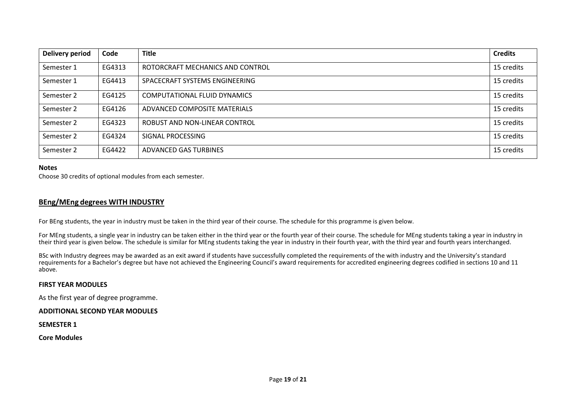| <b>Delivery period</b> | Code   | <b>Title</b>                     | <b>Credits</b> |
|------------------------|--------|----------------------------------|----------------|
| Semester 1             | EG4313 | ROTORCRAFT MECHANICS AND CONTROL | 15 credits     |
| Semester 1             | EG4413 | SPACECRAFT SYSTEMS ENGINEERING   | 15 credits     |
| Semester 2             | EG4125 | COMPUTATIONAL FLUID DYNAMICS     | 15 credits     |
| Semester 2             | EG4126 | ADVANCED COMPOSITE MATERIALS     | 15 credits     |
| Semester 2             | EG4323 | ROBUST AND NON-LINEAR CONTROL    | 15 credits     |
| Semester 2             | EG4324 | SIGNAL PROCESSING                | 15 credits     |
| Semester 2             | EG4422 | ADVANCED GAS TURBINES            | 15 credits     |

#### **Notes**

Choose 30 credits of optional modules from each semester.

#### **BEng/MEng degrees WITH INDUSTRY**

For BEng students, the year in industry must be taken in the third year of their course. The schedule for this programme is given below.

For MEng students, a single year in industry can be taken either in the third year or the fourth year of their course. The schedule for MEng students taking a year in industry in their third year is given below. The schedule is similar for MEng students taking the year in industry in their fourth year, with the third year and fourth years interchanged.

BSc with Industry degrees may be awarded as an exit award if students have successfully completed the requirements of the with industry and the University's standard requirements for a Bachelor's degree but have not achieved the Engineering Council's award requirements for accredited engineering degrees codified in sections 10 and 11 above.

#### **FIRST YEAR MODULES**

As the first year of degree programme.

#### **ADDITIONAL SECOND YEAR MODULES**

**SEMESTER 1**

**Core Modules**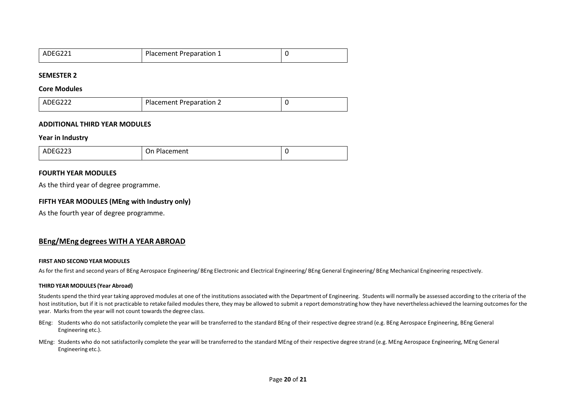| ADEG221 | Placement Preparation 1 |  |
|---------|-------------------------|--|
|         |                         |  |

#### **SEMESTER 2**

#### **Core Modules**

| ADEG22 <sup>~</sup> | Placement Preparation 2 |  |
|---------------------|-------------------------|--|
|---------------------|-------------------------|--|

#### **ADDITIONAL THIRD YEAR MODULES**

#### **Year in Industry**

| ATFC222<br>-1-<br>AV.<br>ura<br>________ | Ωn<br>hacement <i>r</i> |  |
|------------------------------------------|-------------------------|--|
|                                          |                         |  |

#### **FOURTH YEAR MODULES**

As the third year of degree programme.

#### **FIFTH YEAR MODULES (MEng with Industry only)**

As the fourth year of degree programme.

#### **BEng/MEng degrees WITH A YEAR ABROAD**

#### **FIRST AND SECOND YEAR MODULES**

As for the first and second years of BEng Aerospace Engineering/ BEng Electronic and Electrical Engineering/ BEng General Engineering/ BEng Mechanical Engineering respectively.

#### **THIRD YEAR MODULES (Year Abroad)**

Students spend the third year taking approved modules at one of the institutions associated with the Department of Engineering. Students will normally be assessed according to the criteria of the host institution, but if it is not practicable to retake failed modules there, they may be allowed to submit a report demonstrating how they have nevertheless achieved the learning outcomes for the year. Marks from the year will not count towards the degree class.

- BEng: Students who do not satisfactorily complete the year will be transferred to the standard BEng of their respective degree strand (e.g. BEng Aerospace Engineering, BEng General Engineering etc.).
- MEng: Students who do not satisfactorily complete the year will be transferred to the standard MEng of their respective degree strand (e.g. MEng Aerospace Engineering, MEng General Engineering etc.).